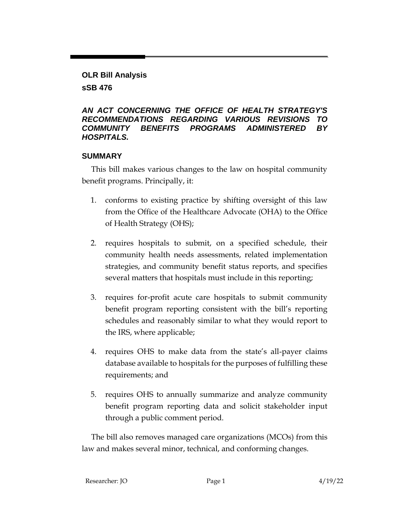### **OLR Bill Analysis**

## **sSB 476**

### *AN ACT CONCERNING THE OFFICE OF HEALTH STRATEGY'S RECOMMENDATIONS REGARDING VARIOUS REVISIONS TO COMMUNITY BENEFITS PROGRAMS ADMINISTERED BY HOSPITALS.*

## **SUMMARY**

This bill makes various changes to the law on hospital community benefit programs. Principally, it:

- 1. conforms to existing practice by shifting oversight of this law from the Office of the Healthcare Advocate (OHA) to the Office of Health Strategy (OHS);
- 2. requires hospitals to submit, on a specified schedule, their community health needs assessments, related implementation strategies, and community benefit status reports, and specifies several matters that hospitals must include in this reporting;
- 3. requires for-profit acute care hospitals to submit community benefit program reporting consistent with the bill's reporting schedules and reasonably similar to what they would report to the IRS, where applicable;
- 4. requires OHS to make data from the state's all-payer claims database available to hospitals for the purposes of fulfilling these requirements; and
- 5. requires OHS to annually summarize and analyze community benefit program reporting data and solicit stakeholder input through a public comment period.

The bill also removes managed care organizations (MCOs) from this law and makes several minor, technical, and conforming changes.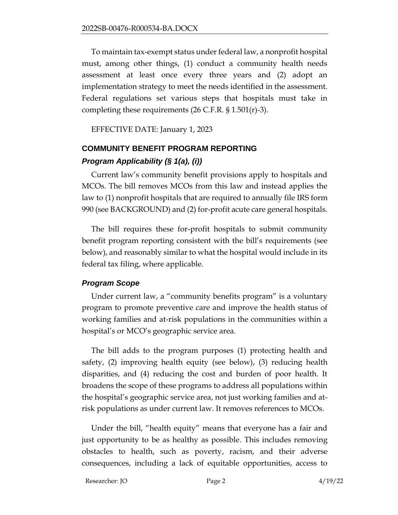To maintain tax-exempt status under federal law, a nonprofit hospital must, among other things, (1) conduct a community health needs assessment at least once every three years and (2) adopt an implementation strategy to meet the needs identified in the assessment. Federal regulations set various steps that hospitals must take in completing these requirements  $(26 \text{ C.F.R. } $ 1.501(\text{r})-3)$ .

EFFECTIVE DATE: January 1, 2023

#### **COMMUNITY BENEFIT PROGRAM REPORTING**

#### *Program Applicability (§ 1(a), (i))*

Current law's community benefit provisions apply to hospitals and MCOs. The bill removes MCOs from this law and instead applies the law to (1) nonprofit hospitals that are required to annually file IRS form 990 (see BACKGROUND) and (2) for-profit acute care general hospitals.

The bill requires these for-profit hospitals to submit community benefit program reporting consistent with the bill's requirements (see below), and reasonably similar to what the hospital would include in its federal tax filing, where applicable.

#### *Program Scope*

Under current law, a "community benefits program" is a voluntary program to promote preventive care and improve the health status of working families and at-risk populations in the communities within a hospital's or MCO's geographic service area.

The bill adds to the program purposes (1) protecting health and safety, (2) improving health equity (see below), (3) reducing health disparities, and (4) reducing the cost and burden of poor health. It broadens the scope of these programs to address all populations within the hospital's geographic service area, not just working families and atrisk populations as under current law. It removes references to MCOs.

Under the bill, "health equity" means that everyone has a fair and just opportunity to be as healthy as possible. This includes removing obstacles to health, such as poverty, racism, and their adverse consequences, including a lack of equitable opportunities, access to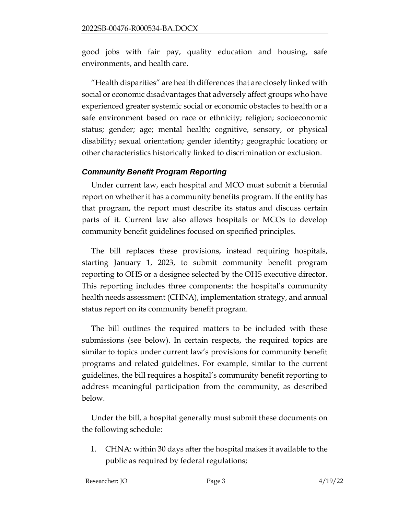good jobs with fair pay, quality education and housing, safe environments, and health care.

"Health disparities" are health differences that are closely linked with social or economic disadvantages that adversely affect groups who have experienced greater systemic social or economic obstacles to health or a safe environment based on race or ethnicity; religion; socioeconomic status; gender; age; mental health; cognitive, sensory, or physical disability; sexual orientation; gender identity; geographic location; or other characteristics historically linked to discrimination or exclusion.

### *Community Benefit Program Reporting*

Under current law, each hospital and MCO must submit a biennial report on whether it has a community benefits program. If the entity has that program, the report must describe its status and discuss certain parts of it. Current law also allows hospitals or MCOs to develop community benefit guidelines focused on specified principles.

The bill replaces these provisions, instead requiring hospitals, starting January 1, 2023, to submit community benefit program reporting to OHS or a designee selected by the OHS executive director. This reporting includes three components: the hospital's community health needs assessment (CHNA), implementation strategy, and annual status report on its community benefit program.

The bill outlines the required matters to be included with these submissions (see below). In certain respects, the required topics are similar to topics under current law's provisions for community benefit programs and related guidelines. For example, similar to the current guidelines, the bill requires a hospital's community benefit reporting to address meaningful participation from the community, as described below.

Under the bill, a hospital generally must submit these documents on the following schedule:

1. CHNA: within 30 days after the hospital makes it available to the public as required by federal regulations;

Researcher: JO Page 3 4/19/22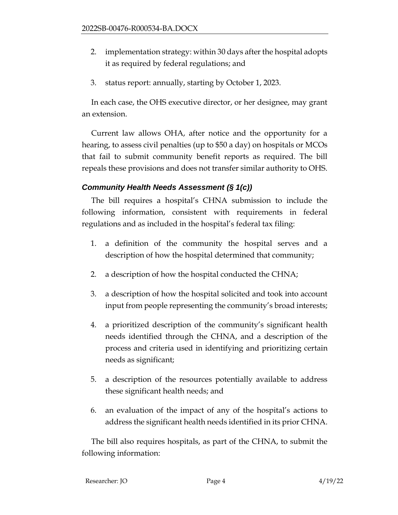- 2. implementation strategy: within 30 days after the hospital adopts it as required by federal regulations; and
- 3. status report: annually, starting by October 1, 2023.

In each case, the OHS executive director, or her designee, may grant an extension.

Current law allows OHA, after notice and the opportunity for a hearing, to assess civil penalties (up to \$50 a day) on hospitals or MCOs that fail to submit community benefit reports as required. The bill repeals these provisions and does not transfer similar authority to OHS.

# *Community Health Needs Assessment (§ 1(c))*

The bill requires a hospital's CHNA submission to include the following information, consistent with requirements in federal regulations and as included in the hospital's federal tax filing:

- 1. a definition of the community the hospital serves and a description of how the hospital determined that community;
- 2. a description of how the hospital conducted the CHNA;
- 3. a description of how the hospital solicited and took into account input from people representing the community's broad interests;
- 4. a prioritized description of the community's significant health needs identified through the CHNA, and a description of the process and criteria used in identifying and prioritizing certain needs as significant;
- 5. a description of the resources potentially available to address these significant health needs; and
- 6. an evaluation of the impact of any of the hospital's actions to address the significant health needs identified in its prior CHNA.

The bill also requires hospitals, as part of the CHNA, to submit the following information: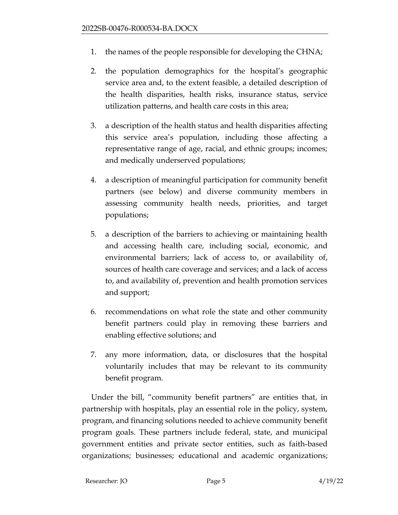- 1. the names of the people responsible for developing the CHNA;
- 2. the population demographics for the hospital's geographic service area and, to the extent feasible, a detailed description of the health disparities, health risks, insurance status, service utilization patterns, and health care costs in this area;
- 3. a description of the health status and health disparities affecting this service area's population, including those affecting a representative range of age, racial, and ethnic groups; incomes; and medically underserved populations;
- 4. a description of meaningful participation for community benefit partners (see below) and diverse community members in assessing community health needs, priorities, and target populations;
- 5. a description of the barriers to achieving or maintaining health and accessing health care, including social, economic, and environmental barriers; lack of access to, or availability of, sources of health care coverage and services; and a lack of access to, and availability of, prevention and health promotion services and support;
- 6. recommendations on what role the state and other community benefit partners could play in removing these barriers and enabling effective solutions; and
- 7. any more information, data, or disclosures that the hospital voluntarily includes that may be relevant to its community benefit program.

Under the bill, "community benefit partners" are entities that, in partnership with hospitals, play an essential role in the policy, system, program, and financing solutions needed to achieve community benefit program goals. These partners include federal, state, and municipal government entities and private sector entities, such as faith-based organizations; businesses; educational and academic organizations;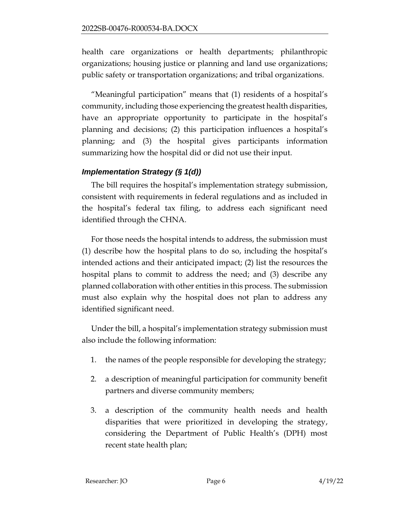health care organizations or health departments; philanthropic organizations; housing justice or planning and land use organizations; public safety or transportation organizations; and tribal organizations.

"Meaningful participation" means that (1) residents of a hospital's community, including those experiencing the greatest health disparities, have an appropriate opportunity to participate in the hospital's planning and decisions; (2) this participation influences a hospital's planning; and (3) the hospital gives participants information summarizing how the hospital did or did not use their input.

# *Implementation Strategy (§ 1(d))*

The bill requires the hospital's implementation strategy submission, consistent with requirements in federal regulations and as included in the hospital's federal tax filing, to address each significant need identified through the CHNA.

For those needs the hospital intends to address, the submission must (1) describe how the hospital plans to do so, including the hospital's intended actions and their anticipated impact; (2) list the resources the hospital plans to commit to address the need; and (3) describe any planned collaboration with other entities in this process. The submission must also explain why the hospital does not plan to address any identified significant need.

Under the bill, a hospital's implementation strategy submission must also include the following information:

- 1. the names of the people responsible for developing the strategy;
- 2. a description of meaningful participation for community benefit partners and diverse community members;
- 3. a description of the community health needs and health disparities that were prioritized in developing the strategy, considering the Department of Public Health's (DPH) most recent state health plan;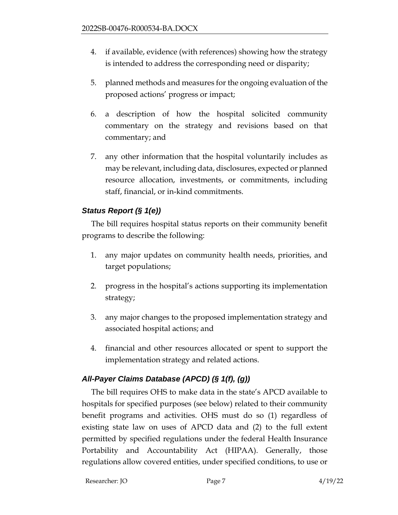- 4. if available, evidence (with references) showing how the strategy is intended to address the corresponding need or disparity;
- 5. planned methods and measures for the ongoing evaluation of the proposed actions' progress or impact;
- 6. a description of how the hospital solicited community commentary on the strategy and revisions based on that commentary; and
- 7. any other information that the hospital voluntarily includes as may be relevant, including data, disclosures, expected or planned resource allocation, investments, or commitments, including staff, financial, or in-kind commitments.

# *Status Report (§ 1(e))*

The bill requires hospital status reports on their community benefit programs to describe the following:

- 1. any major updates on community health needs, priorities, and target populations;
- 2. progress in the hospital's actions supporting its implementation strategy;
- 3. any major changes to the proposed implementation strategy and associated hospital actions; and
- 4. financial and other resources allocated or spent to support the implementation strategy and related actions.

# *All-Payer Claims Database (APCD) (§ 1(f), (g))*

The bill requires OHS to make data in the state's APCD available to hospitals for specified purposes (see below) related to their community benefit programs and activities. OHS must do so (1) regardless of existing state law on uses of APCD data and (2) to the full extent permitted by specified regulations under the federal Health Insurance Portability and Accountability Act (HIPAA). Generally, those regulations allow covered entities, under specified conditions, to use or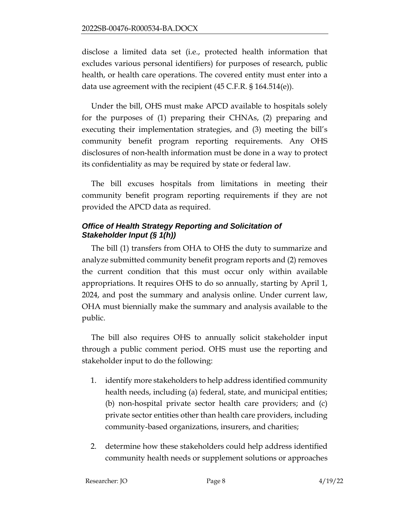disclose a limited data set (i.e., protected health information that excludes various personal identifiers) for purposes of research, public health, or health care operations. The covered entity must enter into a data use agreement with the recipient (45 C.F.R. § 164.514(e)).

Under the bill, OHS must make APCD available to hospitals solely for the purposes of (1) preparing their CHNAs, (2) preparing and executing their implementation strategies, and (3) meeting the bill's community benefit program reporting requirements. Any OHS disclosures of non-health information must be done in a way to protect its confidentiality as may be required by state or federal law.

The bill excuses hospitals from limitations in meeting their community benefit program reporting requirements if they are not provided the APCD data as required.

# *Office of Health Strategy Reporting and Solicitation of Stakeholder Input (§ 1(h))*

The bill (1) transfers from OHA to OHS the duty to summarize and analyze submitted community benefit program reports and (2) removes the current condition that this must occur only within available appropriations. It requires OHS to do so annually, starting by April 1, 2024, and post the summary and analysis online. Under current law, OHA must biennially make the summary and analysis available to the public.

The bill also requires OHS to annually solicit stakeholder input through a public comment period. OHS must use the reporting and stakeholder input to do the following:

- 1. identify more stakeholders to help address identified community health needs, including (a) federal, state, and municipal entities; (b) non-hospital private sector health care providers; and (c) private sector entities other than health care providers, including community-based organizations, insurers, and charities;
- 2. determine how these stakeholders could help address identified community health needs or supplement solutions or approaches